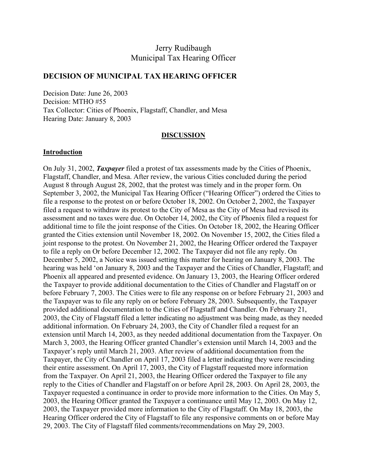# Jerry Rudibaugh Municipal Tax Hearing Officer

#### **DECISION OF MUNICIPAL TAX HEARING OFFICER**

Decision Date: June 26, 2003 Decision: MTHO #55 Tax Collector: Cities of Phoenix, Flagstaff, Chandler, and Mesa Hearing Date: January 8, 2003

#### **DISCUSSION**

#### **Introduction**

On July 31, 2002, *Taxpayer* filed a protest of tax assessments made by the Cities of Phoenix, Flagstaff, Chandler, and Mesa. After review, the various Cities concluded during the period August 8 through August 28, 2002, that the protest was timely and in the proper form. On September 3, 2002, the Municipal Tax Hearing Officer ("Hearing Officer") ordered the Cities to file a response to the protest on or before October 18, 2002. On October 2, 2002, the Taxpayer filed a request to withdraw its protest to the City of Mesa as the City of Mesa had revised its assessment and no taxes were due. On October 14, 2002, the City of Phoenix filed a request for additional time to file the joint response of the Cities. On October 18, 2002, the Hearing Officer granted the Cities extension until November 18, 2002. On November 15, 2002, the Cities filed a joint response to the protest. On November 21, 2002, the Hearing Officer ordered the Taxpayer to file a reply on Or before December 12, 2002. The Taxpayer did not file any reply. On December 5, 2002, a Notice was issued setting this matter for hearing on January 8, 2003. The hearing was held 'on January 8, 2003 and the Taxpayer and the Cities of Chandler, Flagstaff; and Phoenix all appeared and presented evidence. On January 13, 2003, the Hearing Officer ordered the Taxpayer to provide additional documentation to the Cities of Chandler and Flagstaff on or before February 7, 2003. The Cities were to file any response on or before February 21, 2003 and the Taxpayer was to file any reply on or before February 28, 2003. Subsequently, the Taxpayer provided additional documentation to the Cities of Flagstaff and Chandler. On February 21, 2003, the City of Flagstaff filed a letter indicating no adjustment was being made, as they needed additional information. On February 24, 2003, the City of Chandler filed a request for an extension until March 14, 2003, as they needed additional documentation from the Taxpayer. On March 3, 2003, the Hearing Officer granted Chandler's extension until March 14, 2003 and the Taxpayer's reply until March 21, 2003. After review of additional documentation from the Taxpayer, the City of Chandler on April 17, 2003 filed a letter indicating they were rescinding their entire assessment. On April 17, 2003, the City of Flagstaff requested more information from the Taxpayer. On April 21, 2003, the Hearing Officer ordered the Taxpayer to file any reply to the Cities of Chandler and Flagstaff on or before April 28, 2003. On April 28, 2003, the Taxpayer requested a continuance in order to provide more information to the Cities. On May 5, 2003, the Hearing Officer granted the Taxpayer a continuance until May 12, 2003. On May 12, 2003, the Taxpayer provided more information to the City of Flagstaff. On May 18, 2003, the Hearing Officer ordered the City of Flagstaff to file any responsive comments on or before May 29, 2003. The City of Flagstaff filed comments/recommendations on May 29, 2003.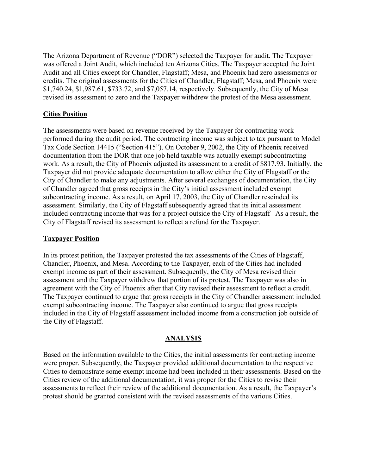The Arizona Department of Revenue ("DOR") selected the Taxpayer for audit. The Taxpayer was offered a Joint Audit, which included ten Arizona Cities. The Taxpayer accepted the Joint Audit and all Cities except for Chandler, Flagstaff; Mesa, and Phoenix had zero assessments or credits. The original assessments for the Cities of Chandler, Flagstaff; Mesa, and Phoenix were \$1,740.24, \$1,987.61, \$733.72, and \$7,057.14, respectively. Subsequently, the City of Mesa revised its assessment to zero and the Taxpayer withdrew the protest of the Mesa assessment.

### **Cities Position**

The assessments were based on revenue received by the Taxpayer for contracting work performed during the audit period. The contracting income was subject to tax pursuant to Model Tax Code Section 14415 ("Section 415"). On October 9, 2002, the City of Phoenix received documentation from the DOR that one job held taxable was actually exempt subcontracting work. As a result, the City of Phoenix adjusted its assessment to a credit of \$817.93. Initially, the Taxpayer did not provide adequate documentation to allow either the City of Flagstaff or the City of Chandler to make any adjustments. After several exchanges of documentation, the City of Chandler agreed that gross receipts in the City's initial assessment included exempt subcontracting income. As a result, on April 17, 2003, the City of Chandler rescinded its assessment. Similarly, the City of Flagstaff subsequently agreed that its initial assessment included contracting income that was for a project outside the City of Flagstaff As a result, the City of Flagstaff revised its assessment to reflect a refund for the Taxpayer.

#### **Taxpayer Position**

In its protest petition, the Taxpayer protested the tax assessments of the Cities of Flagstaff, Chandler, Phoenix, and Mesa. According to the Taxpayer, each of the Cities had included exempt income as part of their assessment. Subsequently, the City of Mesa revised their assessment and the Taxpayer withdrew that portion of its protest. The Taxpayer was also in agreement with the City of Phoenix after that City revised their assessment to reflect a credit. The Taxpayer continued to argue that gross receipts in the City of Chandler assessment included exempt subcontracting income. The Taxpayer also continued to argue that gross receipts included in the City of Flagstaff assessment included income from a construction job outside of the City of Flagstaff.

### **ANALYSIS**

Based on the information available to the Cities, the initial assessments for contracting income were proper. Subsequently, the Taxpayer provided additional documentation to the respective Cities to demonstrate some exempt income had been included in their assessments. Based on the Cities review of the additional documentation, it was proper for the Cities to revise their assessments to reflect their review of the additional documentation. As a result, the Taxpayer's protest should be granted consistent with the revised assessments of the various Cities.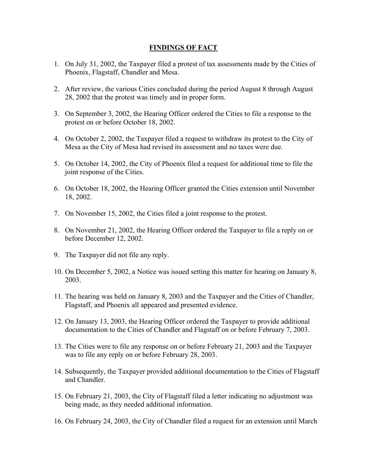#### **FINDINGS OF FACT**

- 1. On July 31, 2002, the Taxpayer filed a protest of tax assessments made by the Cities of Phoenix, Flagstaff, Chandler and Mesa.
- 2. After review, the various Cities concluded during the period August 8 through August 28, 2002 that the protest was timely and in proper form.
- 3. On September 3, 2002, the Hearing Officer ordered the Cities to file a response to the protest on or before October 18, 2002.
- 4. On October 2, 2002, the Taxpayer filed a request to withdraw its protest to the City of Mesa as the City of Mesa had revised its assessment and no taxes were due.
- 5. On October 14, 2002, the City of Phoenix filed a request for additional time to file the joint response of the Cities.
- 6. On October 18, 2002, the Hearing Officer granted the Cities extension until November 18, 2002.
- 7. On November 15, 2002, the Cities filed a joint response to the protest.
- 8. On November 21, 2002, the Hearing Officer ordered the Taxpayer to file a reply on or before December 12, 2002.
- 9. The Taxpayer did not file any reply.
- 10. On December 5, 2002, a Notice was issued setting this matter for hearing on January 8, 2003.
- 11. The hearing was held on January 8, 2003 and the Taxpayer and the Cities of Chandler, Flagstaff, and Phoenix all appeared and presented evidence.
- 12. On January 13, 2003, the Hearing Officer ordered the Taxpayer to provide additional documentation to the Cities of Chandler and Flagstaff on or before February 7, 2003.
- 13. The Cities were to file any response on or before February 21, 2003 and the Taxpayer was to file any reply on or before February 28, 2003.
- 14. Subsequently, the Taxpayer provided additional documentation to the Cities of Flagstaff and Chandler.
- 15. On February 21, 2003, the City of Flagstaff filed a letter indicating no adjustment was being made, as they needed additional information.
- 16. On February 24, 2003, the City of Chandler filed a request for an extension until March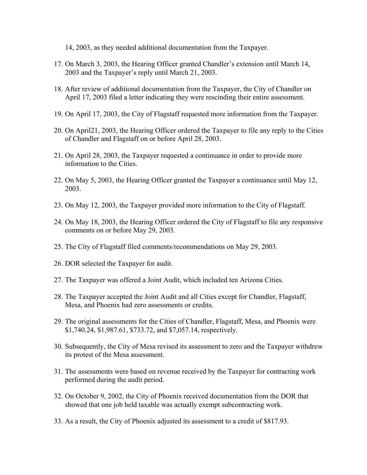14, 2003, as they needed additional documentation from the Taxpayer.

- 17. On March 3, 2003, the Hearing Officer granted Chandler's extension until March 14, 2003 and the Taxpayer's reply until March 21, 2003.
- 18. After review of additional documentation from the Taxpayer, the City of Chandler on April 17, 2003 filed a letter indicating they were rescinding their entire assessment.
- 19. On April 17, 2003, the City of Flagstaff requested more information from the Taxpayer.
- 20. On April21, 2003, the Hearing Officer ordered the Taxpayer to file any reply to the Cities of Chandler and Flagstaff on or before April 28, 2003.
- 21. On April 28, 2003, the Taxpayer requested a continuance in order to provide more information to the Cities.
- 22. On May 5, 2003, the Hearing Officer granted the Taxpayer a continuance until May 12, 2003.
- 23. On May 12, 2003, the Taxpayer provided more information to the City of Flagstaff.
- 24. On May 18, 2003, the Hearing Officer ordered the City of Flagstaff to file any responsive comments on or before May 29, 2003.
- 25. The City of Flagstaff filed comments/recommendations on May 29, 2003.
- 26. DOR selected the Taxpayer for audit.
- 27. The Taxpayer was offered a Joint Audit, which included ten Arizona Cities.
- 28. The Taxpayer accepted the Joint Audit and all Cities except for Chandler, Flagstaff, Mesa, and Phoenix had zero assessments or credits.
- 29. The original assessments for the Cities of Chandler, Flagstaff, Mesa, and Phoenix were \$1,740.24, \$1,987.61, \$733.72, and \$7,057.14, respectively.
- 30. Subsequently, the City of Mesa revised its assessment to zero and the Taxpayer withdrew its protest of the Mesa assessment.
- 31. The assessments were based on revenue received by the Taxpayer for contracting work performed during the audit period.
- 32. On October 9, 2002, the City of Phoenix received documentation from the DOR that showed that one job held taxable was actually exempt subcontracting work.
- 33. As a result, the City of Phoenix adjusted its assessment to a credit of \$817.93.